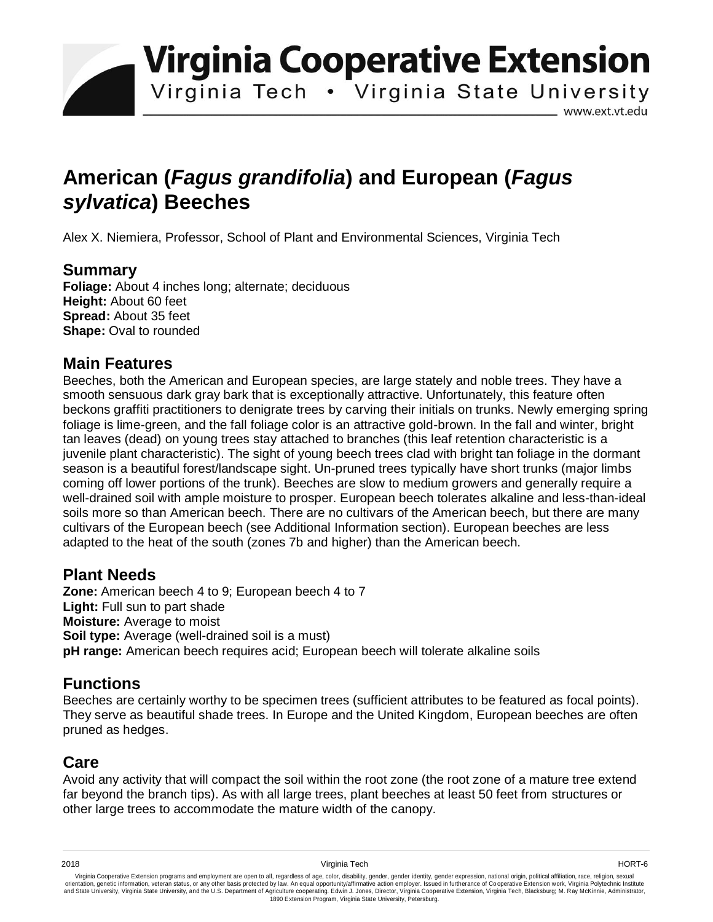**Virginia Cooperative Extension** 

Virginia Tech . Virginia State University

www.ext.vt.edu

# **American (***Fagus grandifolia***) and European (***Fagus sylvatica***) Beeches**

Alex X. Niemiera, Professor, School of Plant and Environmental Sciences, Virginia Tech

#### **Summary**

**Foliage:** About 4 inches long; alternate; deciduous **Height:** About 60 feet **Spread:** About 35 feet **Shape: Oval to rounded** 

#### **Main Features**

Beeches, both the American and European species, are large stately and noble trees. They have a smooth sensuous dark gray bark that is exceptionally attractive. Unfortunately, this feature often beckons graffiti practitioners to denigrate trees by carving their initials on trunks. Newly emerging spring foliage is lime-green, and the fall foliage color is an attractive gold-brown. In the fall and winter, bright tan leaves (dead) on young trees stay attached to branches (this leaf retention characteristic is a juvenile plant characteristic). The sight of young beech trees clad with bright tan foliage in the dormant season is a beautiful forest/landscape sight. Un-pruned trees typically have short trunks (major limbs coming off lower portions of the trunk). Beeches are slow to medium growers and generally require a well-drained soil with ample moisture to prosper. European beech tolerates alkaline and less-than-ideal soils more so than American beech. There are no cultivars of the American beech, but there are many cultivars of the European beech (see Additional Information section). European beeches are less adapted to the heat of the south (zones 7b and higher) than the American beech.

### **Plant Needs**

**Zone:** American beech 4 to 9; European beech 4 to 7 Light: Full sun to part shade **Moisture:** Average to moist **Soil type:** Average (well-drained soil is a must) **pH range:** American beech requires acid; European beech will tolerate alkaline soils

# **Functions**

Beeches are certainly worthy to be specimen trees (sufficient attributes to be featured as focal points). They serve as beautiful shade trees. In Europe and the United Kingdom, European beeches are often pruned as hedges.

# **Care**

Avoid any activity that will compact the soil within the root zone (the root zone of a mature tree extend far beyond the branch tips). As with all large trees, plant beeches at least 50 feet from structures or other large trees to accommodate the mature width of the canopy.

Virginia Cooperative Extension programs and employment are open to all, regardless of age, color, disability, gender, gender identity, gender expression, national origin, political affiliation, race, religion, sexual وrie 1890 Extension Program, Virginia State University, Petersburg.